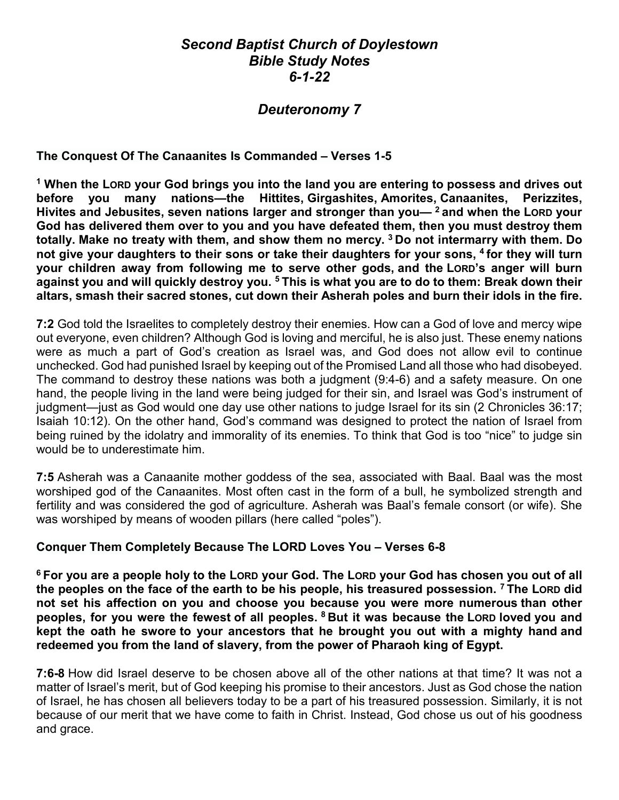## *Second Baptist Church of Doylestown Bible Study Notes 6-1-22*

# *Deuteronomy 7*

**The Conquest Of The Canaanites Is Commanded – Verses 1-5**

**<sup>1</sup> When the LORD your God brings you into the land you are entering to possess and drives out before you many nations—the Hittites, Girgashites, Amorites, Canaanites, Perizzites, Hivites and Jebusites, seven nations larger and stronger than you— <sup>2</sup> and when the LORD your God has delivered them over to you and you have defeated them, then you must destroy them totally. Make no treaty with them, and show them no mercy. <sup>3</sup> Do not intermarry with them. Do not give your daughters to their sons or take their daughters for your sons, <sup>4</sup> for they will turn your children away from following me to serve other gods, and the LORD's anger will burn against you and will quickly destroy you. <sup>5</sup> This is what you are to do to them: Break down their altars, smash their sacred stones, cut down their Asherah poles and burn their idols in the fire.**

**7:2** God told the Israelites to completely destroy their enemies. How can a God of love and mercy wipe out everyone, even children? Although God is loving and merciful, he is also just. These enemy nations were as much a part of God's creation as Israel was, and God does not allow evil to continue unchecked. God had punished Israel by keeping out of the Promised Land all those who had disobeyed. The command to destroy these nations was both a judgment (9:4-6) and a safety measure. On one hand, the people living in the land were being judged for their sin, and Israel was God's instrument of judgment—just as God would one day use other nations to judge Israel for its sin (2 Chronicles 36:17; Isaiah 10:12). On the other hand, God's command was designed to protect the nation of Israel from being ruined by the idolatry and immorality of its enemies. To think that God is too "nice" to judge sin would be to underestimate him.

**7:5** Asherah was a Canaanite mother goddess of the sea, associated with Baal. Baal was the most worshiped god of the Canaanites. Most often cast in the form of a bull, he symbolized strength and fertility and was considered the god of agriculture. Asherah was Baal's female consort (or wife). She was worshiped by means of wooden pillars (here called "poles").

#### **Conquer Them Completely Because The LORD Loves You – Verses 6-8**

**<sup>6</sup> For you are a people holy to the LORD your God. The LORD your God has chosen you out of all the peoples on the face of the earth to be his people, his treasured possession. <sup>7</sup> The LORD did not set his affection on you and choose you because you were more numerous than other peoples, for you were the fewest of all peoples. <sup>8</sup> But it was because the LORD loved you and kept the oath he swore to your ancestors that he brought you out with a mighty hand and redeemed you from the land of slavery, from the power of Pharaoh king of Egypt.**

**7:6-8** How did Israel deserve to be chosen above all of the other nations at that time? It was not a matter of Israel's merit, but of God keeping his promise to their ancestors. Just as God chose the nation of Israel, he has chosen all believers today to be a part of his treasured possession. Similarly, it is not because of our merit that we have come to faith in Christ. Instead, God chose us out of his goodness and grace.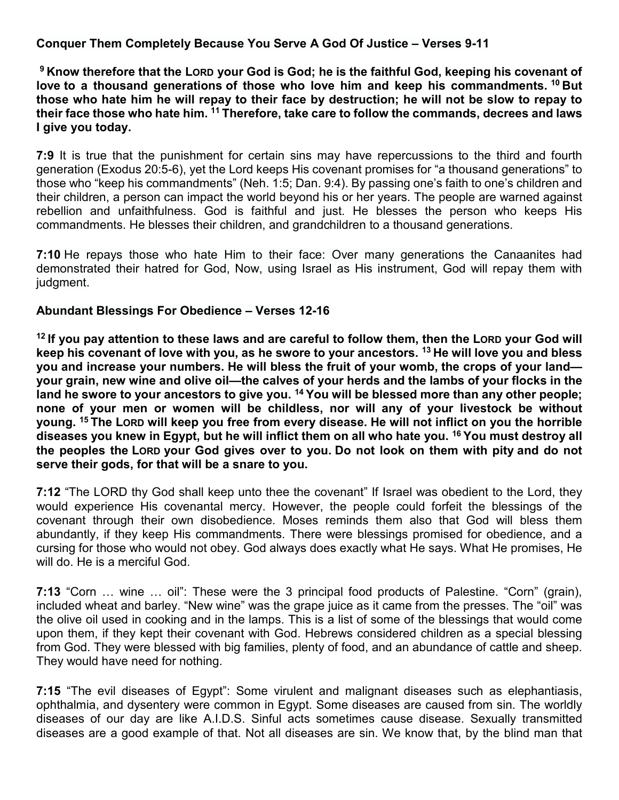#### **Conquer Them Completely Because You Serve A God Of Justice – Verses 9-11**

**<sup>9</sup> Know therefore that the LORD your God is God; he is the faithful God, keeping his covenant of love to a thousand generations of those who love him and keep his commandments. <sup>10</sup> But those who hate him he will repay to their face by destruction; he will not be slow to repay to their face those who hate him. <sup>11</sup> Therefore, take care to follow the commands, decrees and laws I give you today.**

**7:9** It is true that the punishment for certain sins may have repercussions to the third and fourth generation (Exodus 20:5-6), yet the Lord keeps His covenant promises for "a thousand generations" to those who "keep his commandments" (Neh. 1:5; Dan. 9:4). By passing one's faith to one's children and their children, a person can impact the world beyond his or her years. The people are warned against rebellion and unfaithfulness. God is faithful and just. He blesses the person who keeps His commandments. He blesses their children, and grandchildren to a thousand generations.

**7:10** He repays those who hate Him to their face: Over many generations the Canaanites had demonstrated their hatred for God, Now, using Israel as His instrument, God will repay them with judgment.

#### **Abundant Blessings For Obedience – Verses 12-16**

**<sup>12</sup> If you pay attention to these laws and are careful to follow them, then the LORD your God will keep his covenant of love with you, as he swore to your ancestors. <sup>13</sup> He will love you and bless you and increase your numbers. He will bless the fruit of your womb, the crops of your land your grain, new wine and olive oil—the calves of your herds and the lambs of your flocks in the land he swore to your ancestors to give you. <sup>14</sup> You will be blessed more than any other people; none of your men or women will be childless, nor will any of your livestock be without young. <sup>15</sup> The LORD will keep you free from every disease. He will not inflict on you the horrible diseases you knew in Egypt, but he will inflict them on all who hate you. <sup>16</sup> You must destroy all the peoples the LORD your God gives over to you. Do not look on them with pity and do not serve their gods, for that will be a snare to you.**

**7:12** "The LORD thy God shall keep unto thee the covenant" If Israel was obedient to the Lord, they would experience His covenantal mercy. However, the people could forfeit the blessings of the covenant through their own disobedience. Moses reminds them also that God will bless them abundantly, if they keep His commandments. There were blessings promised for obedience, and a cursing for those who would not obey. God always does exactly what He says. What He promises, He will do. He is a merciful God.

**7:13** "Corn … wine … oil": These were the 3 principal food products of Palestine. "Corn" (grain), included wheat and barley. "New wine" was the grape juice as it came from the presses. The "oil" was the olive oil used in cooking and in the lamps. This is a list of some of the blessings that would come upon them, if they kept their covenant with God. Hebrews considered children as a special blessing from God. They were blessed with big families, plenty of food, and an abundance of cattle and sheep. They would have need for nothing.

**7:15** "The evil diseases of Egypt": Some virulent and malignant diseases such as elephantiasis, ophthalmia, and dysentery were common in Egypt. Some diseases are caused from sin. The worldly diseases of our day are like A.I.D.S. Sinful acts sometimes cause disease. Sexually transmitted diseases are a good example of that. Not all diseases are sin. We know that, by the blind man that